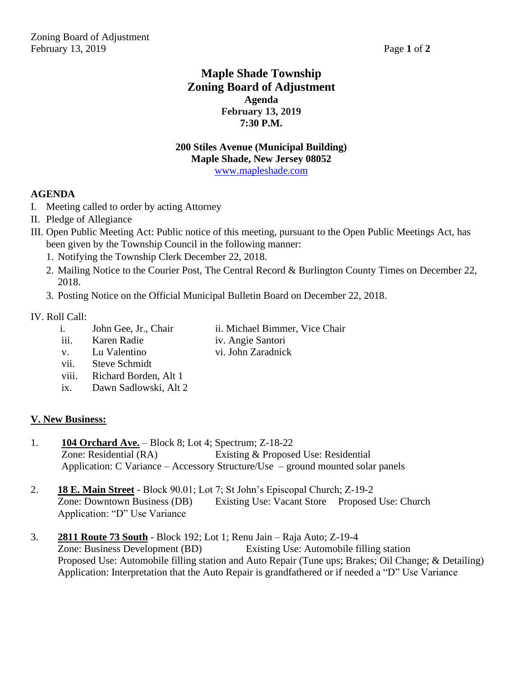## **Maple Shade Township Zoning Board of Adjustment Agenda February 13, 2019 7:30 P.M.**

#### **200 Stiles Avenue (Municipal Building) Maple Shade, New Jersey 08052** [www.mapleshade.com](http://www.mapleshade.com/)

#### **AGENDA**

- I. Meeting called to order by acting Attorney
- II. Pledge of Allegiance
- III. Open Public Meeting Act: Public notice of this meeting, pursuant to the Open Public Meetings Act, has been given by the Township Council in the following manner:
	- 1. Notifying the Township Clerk December 22, 2018.
	- 2. Mailing Notice to the Courier Post, The Central Record & Burlington County Times on December 22, 2018.
	- 3. Posting Notice on the Official Municipal Bulletin Board on December 22, 2018.

#### IV. Roll Call:

- i. John Gee, Jr., Chair ii. Michael Bimmer, Vice Chair
- iii. Karen Radie iv. Angie Santori
- 
- v. Lu Valentino vi. John Zaradnick
- vii. Steve Schmidt
- viii. Richard Borden, Alt 1
- ix. Dawn Sadlowski, Alt 2

### **V. New Business:**

- 1. **104 Orchard Ave.** Block 8; Lot 4; Spectrum; Z-18-22 Zone: Residential (RA) Existing & Proposed Use: Residential Application: C Variance – Accessory Structure/Use – ground mounted solar panels
- 2. **18 E. Main Street** Block 90.01; Lot 7; St John's Episcopal Church; Z-19-2 Zone: Downtown Business (DB) Existing Use: Vacant Store Proposed Use: Church Application: "D" Use Variance
- 3. **2811 Route 73 South** Block 192; Lot 1; Renu Jain Raja Auto; Z-19-4 Zone: Business Development (BD) Existing Use: Automobile filling station Proposed Use: Automobile filling station and Auto Repair (Tune ups; Brakes; Oil Change; & Detailing) Application: Interpretation that the Auto Repair is grandfathered or if needed a "D" Use Variance